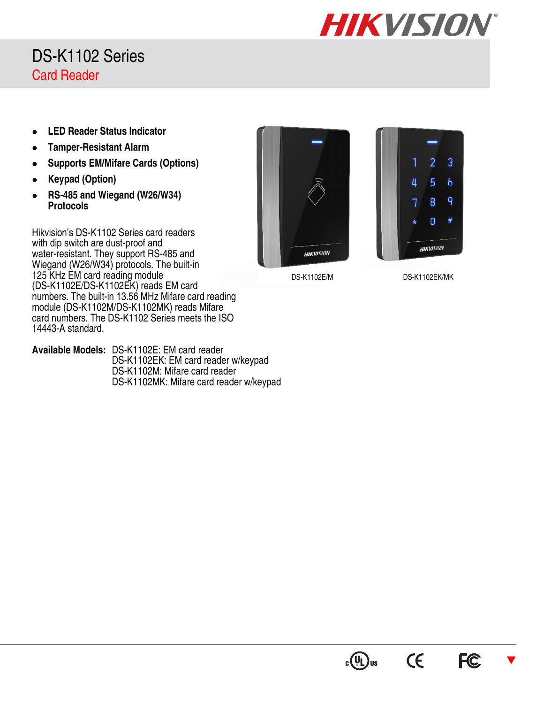

## DS-K1102 Series Card Reader

- **LED Reader Status Indicator**
- **Tamper-Resistant Alarm**
- **Supports EM/Mifare Cards (Options)**
- **Keypad (Option)**
- **RS-485 and Wiegand (W26/W34) Protocols**

Hikvision's DS-K1102 Series card readers with dip switch are dust-proof and water-resistant. They support RS-485 and Wiegand (W26/W34) protocols. The built-in 125 KHz EM card reading module (DS-K1102E/DS-K1102EK) reads EM card numbers. The built-in 13.56 MHz Mifare card reading module (DS-K1102M/DS-K1102MK) reads Mifare card numbers. The DS-K1102 Series meets the ISO 14443-A standard.

**Available Models:** DS-K1102E: EM card reader DS-K1102EK: EM card reader w/keypad DS-K1102M: Mifare card reader DS-K1102MK: Mifare card reader w/keypad





DS-K1102E/M DS-K1102EK/MK

**CE** 

 $c(U)$ us

 $\overline{\blacktriangledown}$ 

**FC**